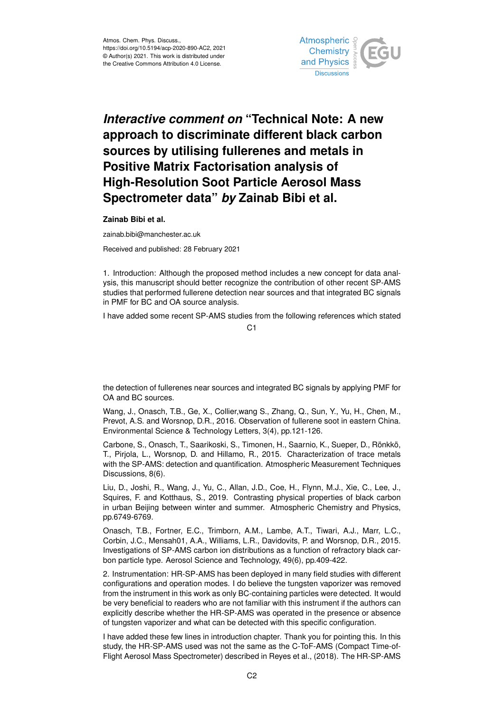

## *Interactive comment on* **"Technical Note: A new approach to discriminate different black carbon sources by utilising fullerenes and metals in Positive Matrix Factorisation analysis of High-Resolution Soot Particle Aerosol Mass Spectrometer data"** *by* **Zainab Bibi et al.**

**Zainab Bibi et al.**

zainab.bibi@manchester.ac.uk

Received and published: 28 February 2021

1. Introduction: Although the proposed method includes a new concept for data analysis, this manuscript should better recognize the contribution of other recent SP-AMS studies that performed fullerene detection near sources and that integrated BC signals in PMF for BC and OA source analysis.

I have added some recent SP-AMS studies from the following references which stated

 $C<sub>1</sub>$ 

the detection of fullerenes near sources and integrated BC signals by applying PMF for OA and BC sources.

Wang, J., Onasch, T.B., Ge, X., Collier,wang S., Zhang, Q., Sun, Y., Yu, H., Chen, M., Prevot, A.S. and Worsnop, D.R., 2016. Observation of fullerene soot in eastern China. Environmental Science & Technology Letters, 3(4), pp.121-126.

Carbone, S., Onasch, T., Saarikoski, S., Timonen, H., Saarnio, K., Sueper, D., Rönkkö, T., Pirjola, L., Worsnop, D. and Hillamo, R., 2015. Characterization of trace metals with the SP-AMS: detection and quantification. Atmospheric Measurement Techniques Discussions, 8(6).

Liu, D., Joshi, R., Wang, J., Yu, C., Allan, J.D., Coe, H., Flynn, M.J., Xie, C., Lee, J., Squires, F. and Kotthaus, S., 2019. Contrasting physical properties of black carbon in urban Beijing between winter and summer. Atmospheric Chemistry and Physics, pp.6749-6769.

Onasch, T.B., Fortner, E.C., Trimborn, A.M., Lambe, A.T., Tiwari, A.J., Marr, L.C., Corbin, J.C., Mensah01, A.A., Williams, L.R., Davidovits, P. and Worsnop, D.R., 2015. Investigations of SP-AMS carbon ion distributions as a function of refractory black carbon particle type. Aerosol Science and Technology, 49(6), pp.409-422.

2. Instrumentation: HR-SP-AMS has been deployed in many field studies with different configurations and operation modes. I do believe the tungsten vaporizer was removed from the instrument in this work as only BC-containing particles were detected. It would be very beneficial to readers who are not familiar with this instrument if the authors can explicitly describe whether the HR-SP-AMS was operated in the presence or absence of tungsten vaporizer and what can be detected with this specific configuration.

I have added these few lines in introduction chapter. Thank you for pointing this. In this study, the HR-SP-AMS used was not the same as the C-ToF-AMS (Compact Time-of-Flight Aerosol Mass Spectrometer) described in Reyes et al., (2018). The HR-SP-AMS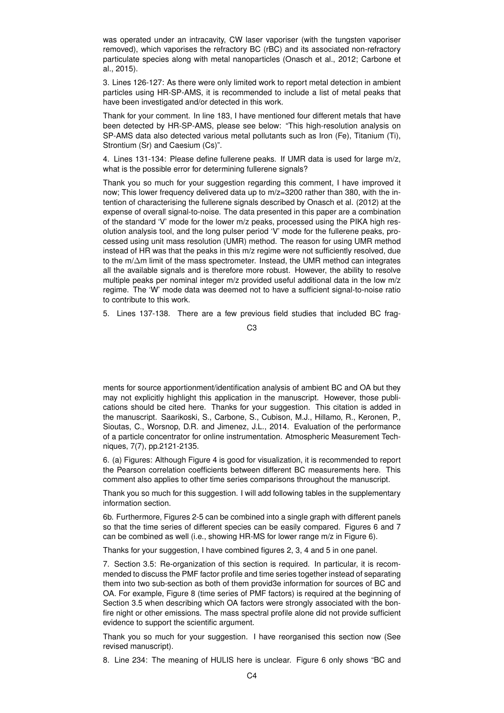was operated under an intracavity, CW laser vaporiser (with the tungsten vaporiser removed), which vaporises the refractory BC (rBC) and its associated non-refractory particulate species along with metal nanoparticles (Onasch et al., 2012; Carbone et al., 2015).

3. Lines 126-127: As there were only limited work to report metal detection in ambient particles using HR-SP-AMS, it is recommended to include a list of metal peaks that have been investigated and/or detected in this work.

Thank for your comment. In line 183, I have mentioned four different metals that have been detected by HR-SP-AMS, please see below: "This high-resolution analysis on SP-AMS data also detected various metal pollutants such as Iron (Fe), Titanium (Ti), Strontium (Sr) and Caesium (Cs)".

4. Lines 131-134: Please define fullerene peaks. If UMR data is used for large m/z, what is the possible error for determining fullerene signals?

Thank you so much for your suggestion regarding this comment, I have improved it now; This lower frequency delivered data up to m/z=3200 rather than 380, with the intention of characterising the fullerene signals described by Onasch et al. (2012) at the expense of overall signal-to-noise. The data presented in this paper are a combination of the standard 'V' mode for the lower m/z peaks, processed using the PIKA high resolution analysis tool, and the long pulser period 'V' mode for the fullerene peaks, processed using unit mass resolution (UMR) method. The reason for using UMR method instead of HR was that the peaks in this m/z regime were not sufficiently resolved, due to the m/∆m limit of the mass spectrometer. Instead, the UMR method can integrates all the available signals and is therefore more robust. However, the ability to resolve multiple peaks per nominal integer m/z provided useful additional data in the low m/z regime. The 'W' mode data was deemed not to have a sufficient signal-to-noise ratio to contribute to this work.

5. Lines 137-138. There are a few previous field studies that included BC frag-

 $C<sub>3</sub>$ 

ments for source apportionment/identification analysis of ambient BC and OA but they may not explicitly highlight this application in the manuscript. However, those publications should be cited here. Thanks for your suggestion. This citation is added in the manuscript. Saarikoski, S., Carbone, S., Cubison, M.J., Hillamo, R., Keronen, P., Sioutas, C., Worsnop, D.R. and Jimenez, J.L., 2014. Evaluation of the performance of a particle concentrator for online instrumentation. Atmospheric Measurement Techniques, 7(7), pp.2121-2135.

6. (a) Figures: Although Figure 4 is good for visualization, it is recommended to report the Pearson correlation coefficients between different BC measurements here. This comment also applies to other time series comparisons throughout the manuscript.

Thank you so much for this suggestion. I will add following tables in the supplementary information section.

6b. Furthermore, Figures 2-5 can be combined into a single graph with different panels so that the time series of different species can be easily compared. Figures 6 and 7 can be combined as well (i.e., showing HR-MS for lower range m/z in Figure 6).

Thanks for your suggestion, I have combined figures 2, 3, 4 and 5 in one panel.

7. Section 3.5: Re-organization of this section is required. In particular, it is recommended to discuss the PMF factor profile and time series together instead of separating them into two sub-section as both of them provid3e information for sources of BC and OA. For example, Figure 8 (time series of PMF factors) is required at the beginning of Section 3.5 when describing which OA factors were strongly associated with the bonfire night or other emissions. The mass spectral profile alone did not provide sufficient evidence to support the scientific argument.

Thank you so much for your suggestion. I have reorganised this section now (See revised manuscript).

8. Line 234: The meaning of HULIS here is unclear. Figure 6 only shows "BC and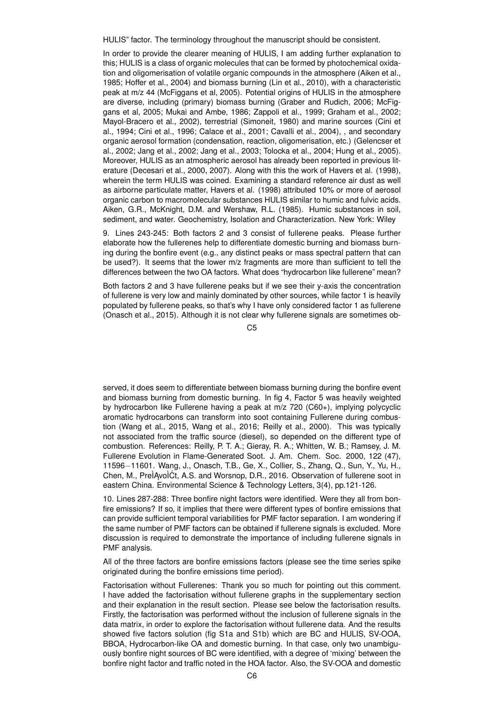HULIS" factor. The terminology throughout the manuscript should be consistent.

In order to provide the clearer meaning of HULIS, I am adding further explanation to this; HULIS is a class of organic molecules that can be formed by photochemical oxidation and oligomerisation of volatile organic compounds in the atmosphere (Aiken et al., 1985; Hoffer et al., 2004) and biomass burning (Lin et al., 2010), with a characteristic peak at m/z 44 (McFiggans et al, 2005). Potential origins of HULIS in the atmosphere are diverse, including (primary) biomass burning (Graber and Rudich, 2006; McFiggans et al, 2005; Mukai and Ambe, 1986; Zappoli et al., 1999; Graham et al., 2002; Mayol-Bracero et al., 2002), terrestrial (Simoneit, 1980) and marine sources (Cini et al., 1994; Cini et al., 1996; Calace et al., 2001; Cavalli et al., 2004), , and secondary organic aerosol formation (condensation, reaction, oligomerisation, etc.) (Gelencser et al., 2002; Jang et al., 2002; Jang et al., 2003; Tolocka et al., 2004; Hung et al., 2005). Moreover, HULIS as an atmospheric aerosol has already been reported in previous literature (Decesari et al., 2000, 2007). Along with this the work of Havers et al. (1998), wherein the term HULIS was coined. Examining a standard reference air dust as well as airborne particulate matter, Havers et al. (1998) attributed 10% or more of aerosol organic carbon to macromolecular substances HULIS similar to humic and fulvic acids. Aiken, G.R., McKnight, D.M. and Wershaw, R.L. (1985). Humic substances in soil, sediment, and water. Geochemistry, Isolation and Characterization. New York: Wiley

9. Lines 243-245: Both factors 2 and 3 consist of fullerene peaks. Please further elaborate how the fullerenes help to differentiate domestic burning and biomass burning during the bonfire event (e.g., any distinct peaks or mass spectral pattern that can be used?). It seems that the lower m/z fragments are more than sufficient to tell the differences between the two OA factors. What does "hydrocarbon like fullerene" mean?

Both factors 2 and 3 have fullerene peaks but if we see their y-axis the concentration of fullerene is very low and mainly dominated by other sources, while factor 1 is heavily populated by fullerene peaks, so that's why I have only considered factor 1 as fullerene (Onasch et al., 2015). Although it is not clear why fullerene signals are sometimes ob-

 $C<sub>5</sub>$ 

served, it does seem to differentiate between biomass burning during the bonfire event and biomass burning from domestic burning. In fig 4, Factor 5 was heavily weighted by hydrocarbon like Fullerene having a peak at m/z 720 (C60+), implying polycyclic aromatic hydrocarbons can transform into soot containing Fullerene during combustion (Wang et al., 2015, Wang et al., 2016; Reilly et al., 2000). This was typically not associated from the traffic source (diesel), so depended on the different type of combustion. References: Reilly, P. T. A.; Gieray, R. A.; Whitten, W. B.; Ramsey, J. M. Fullerene Evolution in Flame-Generated Soot. J. Am. Chem. Soc. 2000, 122 (47), 11596−11601. Wang, J., Onasch, T.B., Ge, X., Collier, S., Zhang, Q., Sun, Y., Yu, H., Chen, M., PreÌAvoÌCt, A.S. and Worsnop, D.R., 2016. Observation of fullerene soot in eastern China. Environmental Science & Technology Letters, 3(4), pp.121-126.

10. Lines 287-288: Three bonfire night factors were identified. Were they all from bonfire emissions? If so, it implies that there were different types of bonfire emissions that can provide sufficient temporal variabilities for PMF factor separation. I am wondering if the same number of PMF factors can be obtained if fullerene signals is excluded. More discussion is required to demonstrate the importance of including fullerene signals in PMF analysis.

All of the three factors are bonfire emissions factors (please see the time series spike originated during the bonfire emissions time period).

Factorisation without Fullerenes: Thank you so much for pointing out this comment. I have added the factorisation without fullerene graphs in the supplementary section and their explanation in the result section. Please see below the factorisation results. Firstly, the factorisation was performed without the inclusion of fullerene signals in the data matrix, in order to explore the factorisation without fullerene data. And the results showed five factors solution (fig S1a and S1b) which are BC and HULIS, SV-OOA, BBOA, Hydrocarbon-like OA and domestic burning. In that case, only two unambiguously bonfire night sources of BC were identified, with a degree of 'mixing' between the bonfire night factor and traffic noted in the HOA factor. Also, the SV-OOA and domestic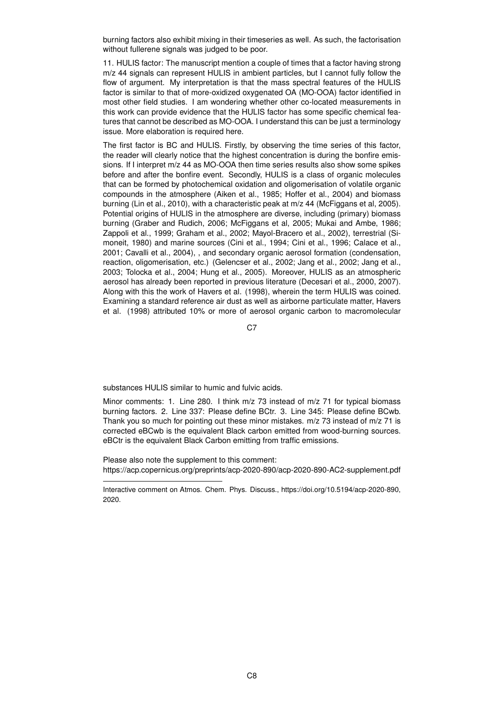burning factors also exhibit mixing in their timeseries as well. As such, the factorisation without fullerene signals was judged to be poor.

11. HULIS factor: The manuscript mention a couple of times that a factor having strong m/z 44 signals can represent HULIS in ambient particles, but I cannot fully follow the flow of argument. My interpretation is that the mass spectral features of the HULIS factor is similar to that of more-oxidized oxygenated OA (MO-OOA) factor identified in most other field studies. I am wondering whether other co-located measurements in this work can provide evidence that the HULIS factor has some specific chemical features that cannot be described as MO-OOA. I understand this can be just a terminology issue. More elaboration is required here.

The first factor is BC and HULIS. Firstly, by observing the time series of this factor, the reader will clearly notice that the highest concentration is during the bonfire emissions. If I interpret m/z 44 as MO-OOA then time series results also show some spikes before and after the bonfire event. Secondly, HULIS is a class of organic molecules that can be formed by photochemical oxidation and oligomerisation of volatile organic compounds in the atmosphere (Aiken et al., 1985; Hoffer et al., 2004) and biomass burning (Lin et al., 2010), with a characteristic peak at m/z 44 (McFiggans et al, 2005). Potential origins of HULIS in the atmosphere are diverse, including (primary) biomass burning (Graber and Rudich, 2006; McFiggans et al, 2005; Mukai and Ambe, 1986; Zappoli et al., 1999; Graham et al., 2002; Mayol-Bracero et al., 2002), terrestrial (Simoneit, 1980) and marine sources (Cini et al., 1994; Cini et al., 1996; Calace et al., 2001; Cavalli et al., 2004), , and secondary organic aerosol formation (condensation, reaction, oligomerisation, etc.) (Gelencser et al., 2002; Jang et al., 2002; Jang et al., 2003; Tolocka et al., 2004; Hung et al., 2005). Moreover, HULIS as an atmospheric aerosol has already been reported in previous literature (Decesari et al., 2000, 2007). Along with this the work of Havers et al. (1998), wherein the term HULIS was coined. Examining a standard reference air dust as well as airborne particulate matter, Havers et al. (1998) attributed 10% or more of aerosol organic carbon to macromolecular

C<sub>7</sub>

substances HULIS similar to humic and fulvic acids.

Minor comments: 1. Line 280. I think m/z 73 instead of m/z 71 for typical biomass burning factors. 2. Line 337: Please define BCtr. 3. Line 345: Please define BCwb. Thank you so much for pointing out these minor mistakes. m/z 73 instead of m/z 71 is corrected eBCwb is the equivalent Black carbon emitted from wood-burning sources. eBCtr is the equivalent Black Carbon emitting from traffic emissions.

Please also note the supplement to this comment: https://acp.copernicus.org/preprints/acp-2020-890/acp-2020-890-AC2-supplement.pdf

Interactive comment on Atmos. Chem. Phys. Discuss., https://doi.org/10.5194/acp-2020-890, 2020.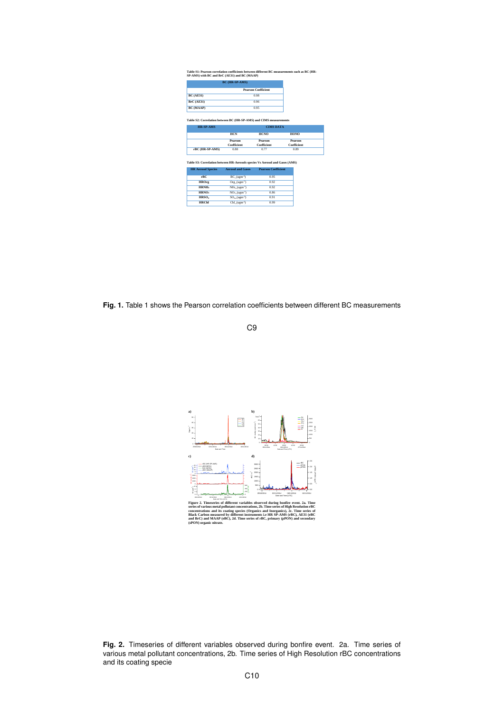|                                                                                                                                | <b>BC</b> (HR-SP-AMS)                                              |                            |             |
|--------------------------------------------------------------------------------------------------------------------------------|--------------------------------------------------------------------|----------------------------|-------------|
|                                                                                                                                |                                                                    | <b>Pearson Coefficient</b> |             |
| <b>BC</b> (AE31)                                                                                                               | 0.98                                                               |                            |             |
| <b>BrC</b> (AE31)                                                                                                              | 0.96                                                               |                            |             |
| <b>BC</b> (MAAP)                                                                                                               |                                                                    | 0.95                       |             |
|                                                                                                                                |                                                                    |                            |             |
|                                                                                                                                | Table S2: Correlation between BC (HR-SP-AMS) and CIMS measurements |                            |             |
| <b>HR-SP-AMS</b>                                                                                                               | <b>CIMS DATA</b>                                                   |                            |             |
|                                                                                                                                | HCN                                                                | <b>HCNO</b>                | HONO        |
|                                                                                                                                | Pearson                                                            | Pearson                    | Pearson     |
|                                                                                                                                | Coefficient                                                        | Coefficient                | Coefficient |
|                                                                                                                                |                                                                    |                            |             |
| rBC (HR-SP-AMS)                                                                                                                | 0.88                                                               | 0.77                       | 0.89        |
|                                                                                                                                |                                                                    |                            |             |
|                                                                                                                                | <b>Aerosol and Gases</b>                                           | <b>Pearson Coefficient</b> |             |
| rBC                                                                                                                            | $BC (ugm-3)$                                                       | 0.95                       |             |
| <b>HROrg</b>                                                                                                                   | $Org (ugm-3)$                                                      | 0.92                       |             |
| HRNH <sub>4</sub>                                                                                                              | $NH4$ (ugm <sup>-3</sup> )                                         | 0.92                       |             |
| HRNO.                                                                                                                          | $NO3 (ugm-3)$                                                      | 0.86                       |             |
| Table S3: Correlation between HR-Aerosols species Vs Aerosol and Gases (AMS)<br><b>HR Aerosol Species</b><br>HRSO <sub>+</sub> | $SO4 (ugm-3)$<br>Chl $(ugm-3)$                                     | 0.91                       |             |

Fig. 1. Table 1 shows the Pearson correlation coefficients between different BC measurements





series of various metal pollutant concentrations, 2b. Time series of High Resolution-BC<br>concentrations and its couting species (Organics and Inorganics), 2c. Time series of<br>Black Carbon measured by different instruments i.

**Fig. 2.** Timeseries of different variables observed during bonfire event. 2a. Time series of various metal pollutant concentrations, 2b. Time series of High Resolution rBC concentrations and its coating specie